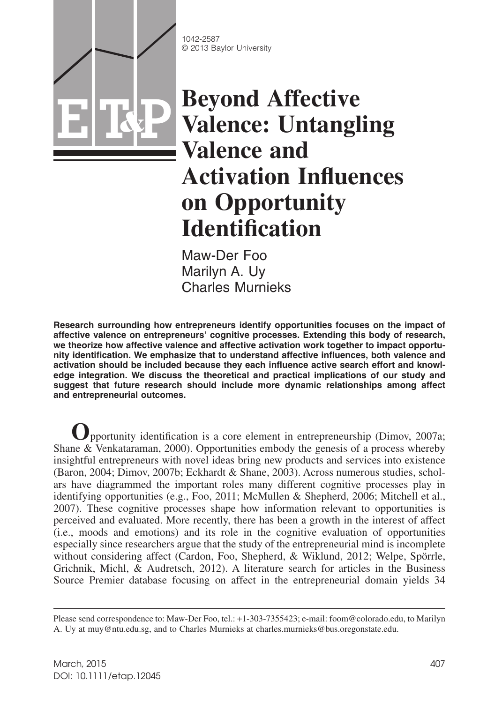1042-2587 © 2013 Baylor University



# **Beyond Affective Valence: Untangling Valence and Activation Influences on Opportunity Identification**

Maw-Der Foo Marilyn A. Uy Charles Murnieks

**Research surrounding how entrepreneurs identify opportunities focuses on the impact of affective valence on entrepreneurs' cognitive processes. Extending this body of research, we theorize how affective valence and affective activation work together to impact opportunity identification. We emphasize that to understand affective influences, both valence and activation should be included because they each influence active search effort and knowledge integration. We discuss the theoretical and practical implications of our study and suggest that future research should include more dynamic relationships among affect and entrepreneurial outcomes.**

**O**pportunity identification is a core element in entrepreneurship (Dimov, 2007a; Shane & Venkataraman, 2000). Opportunities embody the genesis of a process whereby insightful entrepreneurs with novel ideas bring new products and services into existence (Baron, 2004; Dimov, 2007b; Eckhardt & Shane, 2003). Across numerous studies, scholars have diagrammed the important roles many different cognitive processes play in identifying opportunities (e.g., Foo, 2011; McMullen & Shepherd, 2006; Mitchell et al., 2007). These cognitive processes shape how information relevant to opportunities is perceived and evaluated. More recently, there has been a growth in the interest of affect (i.e., moods and emotions) and its role in the cognitive evaluation of opportunities especially since researchers argue that the study of the entrepreneurial mind is incomplete without considering affect (Cardon, Foo, Shepherd, & Wiklund, 2012; Welpe, Spörrle, Grichnik, Michl, & Audretsch, 2012). A literature search for articles in the Business Source Premier database focusing on affect in the entrepreneurial domain yields 34

Please send correspondence to: Maw-Der Foo, tel.: +1-303-7355423; e-mail: foom@colorado.edu, to Marilyn A. Uy at muy@ntu.edu.sg, and to Charles Murnieks at charles.murnieks@bus.oregonstate.edu.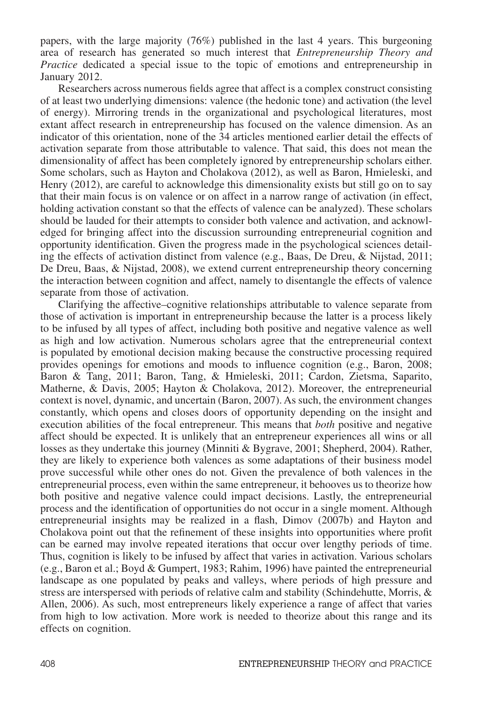papers, with the large majority (76%) published in the last 4 years. This burgeoning area of research has generated so much interest that *Entrepreneurship Theory and Practice* dedicated a special issue to the topic of emotions and entrepreneurship in January 2012.

Researchers across numerous fields agree that affect is a complex construct consisting of at least two underlying dimensions: valence (the hedonic tone) and activation (the level of energy). Mirroring trends in the organizational and psychological literatures, most extant affect research in entrepreneurship has focused on the valence dimension. As an indicator of this orientation, none of the 34 articles mentioned earlier detail the effects of activation separate from those attributable to valence. That said, this does not mean the dimensionality of affect has been completely ignored by entrepreneurship scholars either. Some scholars, such as Hayton and Cholakova (2012), as well as Baron, Hmieleski, and Henry (2012), are careful to acknowledge this dimensionality exists but still go on to say that their main focus is on valence or on affect in a narrow range of activation (in effect, holding activation constant so that the effects of valence can be analyzed). These scholars should be lauded for their attempts to consider both valence and activation, and acknowledged for bringing affect into the discussion surrounding entrepreneurial cognition and opportunity identification. Given the progress made in the psychological sciences detailing the effects of activation distinct from valence (e.g., Baas, De Dreu, & Nijstad, 2011; De Dreu, Baas, & Nijstad, 2008), we extend current entrepreneurship theory concerning the interaction between cognition and affect, namely to disentangle the effects of valence separate from those of activation.

Clarifying the affective–cognitive relationships attributable to valence separate from those of activation is important in entrepreneurship because the latter is a process likely to be infused by all types of affect, including both positive and negative valence as well as high and low activation. Numerous scholars agree that the entrepreneurial context is populated by emotional decision making because the constructive processing required provides openings for emotions and moods to influence cognition (e.g., Baron, 2008; Baron & Tang, 2011; Baron, Tang, & Hmieleski, 2011; Cardon, Zietsma, Saparito, Matherne, & Davis, 2005; Hayton & Cholakova, 2012). Moreover, the entrepreneurial context is novel, dynamic, and uncertain (Baron, 2007). As such, the environment changes constantly, which opens and closes doors of opportunity depending on the insight and execution abilities of the focal entrepreneur. This means that *both* positive and negative affect should be expected. It is unlikely that an entrepreneur experiences all wins or all losses as they undertake this journey (Minniti & Bygrave, 2001; Shepherd, 2004). Rather, they are likely to experience both valences as some adaptations of their business model prove successful while other ones do not. Given the prevalence of both valences in the entrepreneurial process, even within the same entrepreneur, it behooves us to theorize how both positive and negative valence could impact decisions. Lastly, the entrepreneurial process and the identification of opportunities do not occur in a single moment. Although entrepreneurial insights may be realized in a flash, Dimov (2007b) and Hayton and Cholakova point out that the refinement of these insights into opportunities where profit can be earned may involve repeated iterations that occur over lengthy periods of time. Thus, cognition is likely to be infused by affect that varies in activation. Various scholars (e.g., Baron et al.; Boyd & Gumpert, 1983; Rahim, 1996) have painted the entrepreneurial landscape as one populated by peaks and valleys, where periods of high pressure and stress are interspersed with periods of relative calm and stability (Schindehutte, Morris, & Allen, 2006). As such, most entrepreneurs likely experience a range of affect that varies from high to low activation. More work is needed to theorize about this range and its effects on cognition.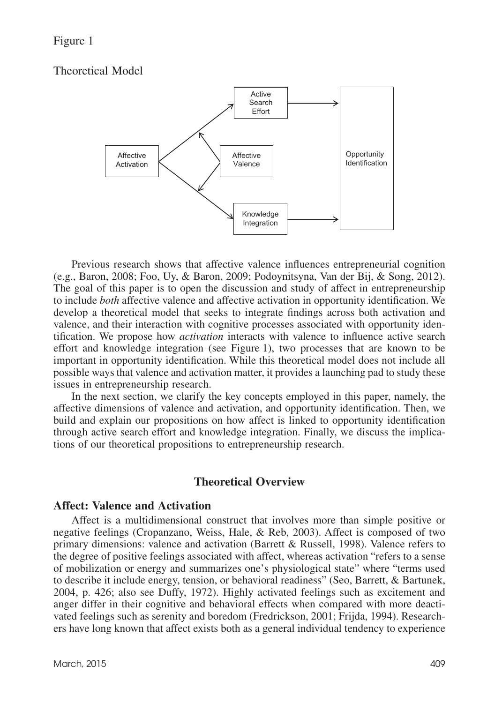## Figure 1

Theoretical Model



Previous research shows that affective valence influences entrepreneurial cognition (e.g., Baron, 2008; Foo, Uy, & Baron, 2009; Podoynitsyna, Van der Bij, & Song, 2012). The goal of this paper is to open the discussion and study of affect in entrepreneurship to include *both* affective valence and affective activation in opportunity identification. We develop a theoretical model that seeks to integrate findings across both activation and valence, and their interaction with cognitive processes associated with opportunity identification. We propose how *activation* interacts with valence to influence active search effort and knowledge integration (see Figure 1), two processes that are known to be important in opportunity identification. While this theoretical model does not include all possible ways that valence and activation matter, it provides a launching pad to study these issues in entrepreneurship research.

In the next section, we clarify the key concepts employed in this paper, namely, the affective dimensions of valence and activation, and opportunity identification. Then, we build and explain our propositions on how affect is linked to opportunity identification through active search effort and knowledge integration. Finally, we discuss the implications of our theoretical propositions to entrepreneurship research.

#### **Theoretical Overview**

#### **Affect: Valence and Activation**

Affect is a multidimensional construct that involves more than simple positive or negative feelings (Cropanzano, Weiss, Hale, & Reb, 2003). Affect is composed of two primary dimensions: valence and activation (Barrett & Russell, 1998). Valence refers to the degree of positive feelings associated with affect, whereas activation "refers to a sense of mobilization or energy and summarizes one's physiological state" where "terms used to describe it include energy, tension, or behavioral readiness" (Seo, Barrett, & Bartunek, 2004, p. 426; also see Duffy, 1972). Highly activated feelings such as excitement and anger differ in their cognitive and behavioral effects when compared with more deactivated feelings such as serenity and boredom (Fredrickson, 2001; Frijda, 1994). Researchers have long known that affect exists both as a general individual tendency to experience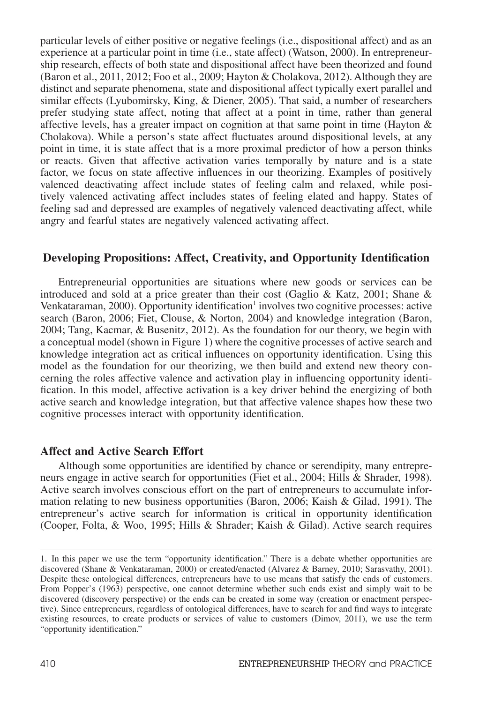particular levels of either positive or negative feelings (i.e., dispositional affect) and as an experience at a particular point in time (i.e., state affect) (Watson, 2000). In entrepreneurship research, effects of both state and dispositional affect have been theorized and found (Baron et al., 2011, 2012; Foo et al., 2009; Hayton & Cholakova, 2012). Although they are distinct and separate phenomena, state and dispositional affect typically exert parallel and similar effects (Lyubomirsky, King, & Diener, 2005). That said, a number of researchers prefer studying state affect, noting that affect at a point in time, rather than general affective levels, has a greater impact on cognition at that same point in time (Hayton  $\&$ Cholakova). While a person's state affect fluctuates around dispositional levels, at any point in time, it is state affect that is a more proximal predictor of how a person thinks or reacts. Given that affective activation varies temporally by nature and is a state factor, we focus on state affective influences in our theorizing. Examples of positively valenced deactivating affect include states of feeling calm and relaxed, while positively valenced activating affect includes states of feeling elated and happy. States of feeling sad and depressed are examples of negatively valenced deactivating affect, while angry and fearful states are negatively valenced activating affect.

## **Developing Propositions: Affect, Creativity, and Opportunity Identification**

Entrepreneurial opportunities are situations where new goods or services can be introduced and sold at a price greater than their cost (Gaglio & Katz, 2001; Shane & Venkataraman, 2000). Opportunity identification<sup>1</sup> involves two cognitive processes: active search (Baron, 2006; Fiet, Clouse, & Norton, 2004) and knowledge integration (Baron, 2004; Tang, Kacmar, & Busenitz, 2012). As the foundation for our theory, we begin with a conceptual model (shown in Figure 1) where the cognitive processes of active search and knowledge integration act as critical influences on opportunity identification. Using this model as the foundation for our theorizing, we then build and extend new theory concerning the roles affective valence and activation play in influencing opportunity identification. In this model, affective activation is a key driver behind the energizing of both active search and knowledge integration, but that affective valence shapes how these two cognitive processes interact with opportunity identification.

## **Affect and Active Search Effort**

Although some opportunities are identified by chance or serendipity, many entrepreneurs engage in active search for opportunities (Fiet et al., 2004; Hills & Shrader, 1998). Active search involves conscious effort on the part of entrepreneurs to accumulate information relating to new business opportunities (Baron, 2006; Kaish & Gilad, 1991). The entrepreneur's active search for information is critical in opportunity identification (Cooper, Folta, & Woo, 1995; Hills & Shrader; Kaish & Gilad). Active search requires

<sup>1.</sup> In this paper we use the term "opportunity identification." There is a debate whether opportunities are discovered (Shane & Venkataraman, 2000) or created/enacted (Alvarez & Barney, 2010; Sarasvathy, 2001). Despite these ontological differences, entrepreneurs have to use means that satisfy the ends of customers. From Popper's (1963) perspective, one cannot determine whether such ends exist and simply wait to be discovered (discovery perspective) or the ends can be created in some way (creation or enactment perspective). Since entrepreneurs, regardless of ontological differences, have to search for and find ways to integrate existing resources, to create products or services of value to customers (Dimov, 2011), we use the term "opportunity identification."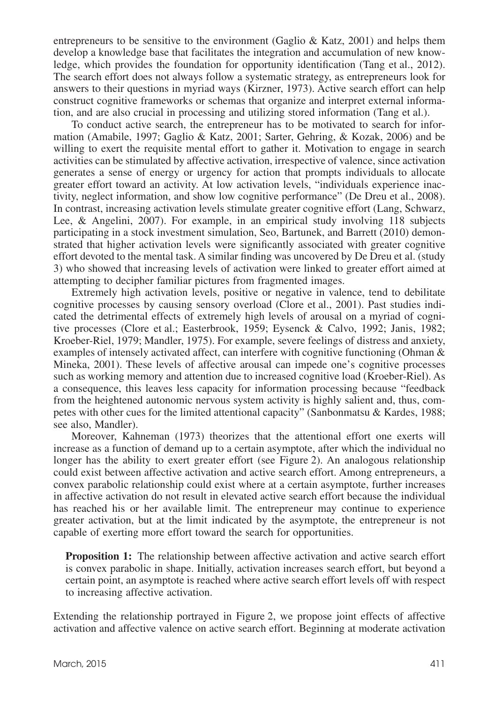entrepreneurs to be sensitive to the environment (Gaglio  $\&$  Katz, 2001) and helps them develop a knowledge base that facilitates the integration and accumulation of new knowledge, which provides the foundation for opportunity identification (Tang et al., 2012). The search effort does not always follow a systematic strategy, as entrepreneurs look for answers to their questions in myriad ways (Kirzner, 1973). Active search effort can help construct cognitive frameworks or schemas that organize and interpret external information, and are also crucial in processing and utilizing stored information (Tang et al.).

To conduct active search, the entrepreneur has to be motivated to search for information (Amabile, 1997; Gaglio & Katz, 2001; Sarter, Gehring, & Kozak, 2006) and be willing to exert the requisite mental effort to gather it. Motivation to engage in search activities can be stimulated by affective activation, irrespective of valence, since activation generates a sense of energy or urgency for action that prompts individuals to allocate greater effort toward an activity. At low activation levels, "individuals experience inactivity, neglect information, and show low cognitive performance" (De Dreu et al., 2008). In contrast, increasing activation levels stimulate greater cognitive effort (Lang, Schwarz, Lee, & Angelini, 2007). For example, in an empirical study involving 118 subjects participating in a stock investment simulation, Seo, Bartunek, and Barrett (2010) demonstrated that higher activation levels were significantly associated with greater cognitive effort devoted to the mental task. A similar finding was uncovered by De Dreu et al. (study 3) who showed that increasing levels of activation were linked to greater effort aimed at attempting to decipher familiar pictures from fragmented images.

Extremely high activation levels, positive or negative in valence, tend to debilitate cognitive processes by causing sensory overload (Clore et al., 2001). Past studies indicated the detrimental effects of extremely high levels of arousal on a myriad of cognitive processes (Clore et al.; Easterbrook, 1959; Eysenck & Calvo, 1992; Janis, 1982; Kroeber-Riel, 1979; Mandler, 1975). For example, severe feelings of distress and anxiety, examples of intensely activated affect, can interfere with cognitive functioning (Ohman & Mineka, 2001). These levels of affective arousal can impede one's cognitive processes such as working memory and attention due to increased cognitive load (Kroeber-Riel). As a consequence, this leaves less capacity for information processing because "feedback from the heightened autonomic nervous system activity is highly salient and, thus, competes with other cues for the limited attentional capacity" (Sanbonmatsu & Kardes, 1988; see also, Mandler).

Moreover, Kahneman (1973) theorizes that the attentional effort one exerts will increase as a function of demand up to a certain asymptote, after which the individual no longer has the ability to exert greater effort (see Figure 2). An analogous relationship could exist between affective activation and active search effort. Among entrepreneurs, a convex parabolic relationship could exist where at a certain asymptote, further increases in affective activation do not result in elevated active search effort because the individual has reached his or her available limit. The entrepreneur may continue to experience greater activation, but at the limit indicated by the asymptote, the entrepreneur is not capable of exerting more effort toward the search for opportunities.

**Proposition 1:** The relationship between affective activation and active search effort is convex parabolic in shape. Initially, activation increases search effort, but beyond a certain point, an asymptote is reached where active search effort levels off with respect to increasing affective activation.

Extending the relationship portrayed in Figure 2, we propose joint effects of affective activation and affective valence on active search effort. Beginning at moderate activation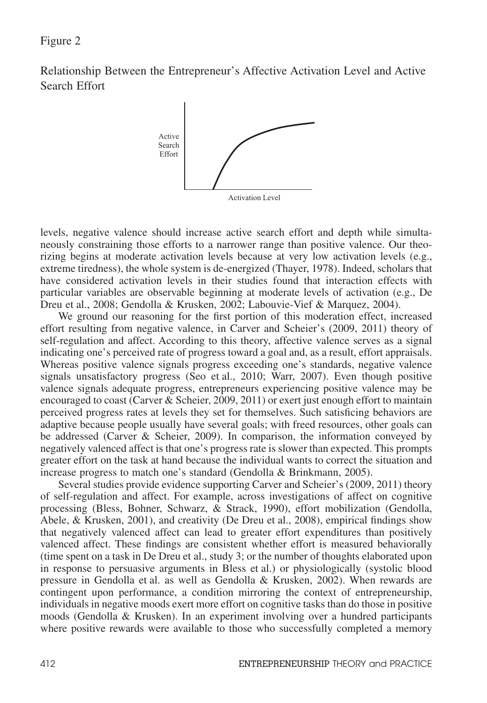## Figure 2

Relationship Between the Entrepreneur's Affective Activation Level and Active Search Effort



levels, negative valence should increase active search effort and depth while simultaneously constraining those efforts to a narrower range than positive valence. Our theorizing begins at moderate activation levels because at very low activation levels (e.g., extreme tiredness), the whole system is de-energized (Thayer, 1978). Indeed, scholars that have considered activation levels in their studies found that interaction effects with particular variables are observable beginning at moderate levels of activation (e.g., De Dreu et al., 2008; Gendolla & Krusken, 2002; Labouvie-Vief & Marquez, 2004).

We ground our reasoning for the first portion of this moderation effect, increased effort resulting from negative valence, in Carver and Scheier's (2009, 2011) theory of self-regulation and affect. According to this theory, affective valence serves as a signal indicating one's perceived rate of progress toward a goal and, as a result, effort appraisals. Whereas positive valence signals progress exceeding one's standards, negative valence signals unsatisfactory progress (Seo et al., 2010; Warr, 2007). Even though positive valence signals adequate progress, entrepreneurs experiencing positive valence may be encouraged to coast (Carver & Scheier, 2009, 2011) or exert just enough effort to maintain perceived progress rates at levels they set for themselves. Such satisficing behaviors are adaptive because people usually have several goals; with freed resources, other goals can be addressed (Carver & Scheier, 2009). In comparison, the information conveyed by negatively valenced affect is that one's progress rate is slower than expected. This prompts greater effort on the task at hand because the individual wants to correct the situation and increase progress to match one's standard (Gendolla & Brinkmann, 2005).

Several studies provide evidence supporting Carver and Scheier's (2009, 2011) theory of self-regulation and affect. For example, across investigations of affect on cognitive processing (Bless, Bohner, Schwarz, & Strack, 1990), effort mobilization (Gendolla, Abele, & Krusken, 2001), and creativity (De Dreu et al., 2008), empirical findings show that negatively valenced affect can lead to greater effort expenditures than positively valenced affect. These findings are consistent whether effort is measured behaviorally (time spent on a task in De Dreu et al., study 3; or the number of thoughts elaborated upon in response to persuasive arguments in Bless et al.) or physiologically (systolic blood pressure in Gendolla et al. as well as Gendolla & Krusken, 2002). When rewards are contingent upon performance, a condition mirroring the context of entrepreneurship, individuals in negative moods exert more effort on cognitive tasks than do those in positive moods (Gendolla & Krusken). In an experiment involving over a hundred participants where positive rewards were available to those who successfully completed a memory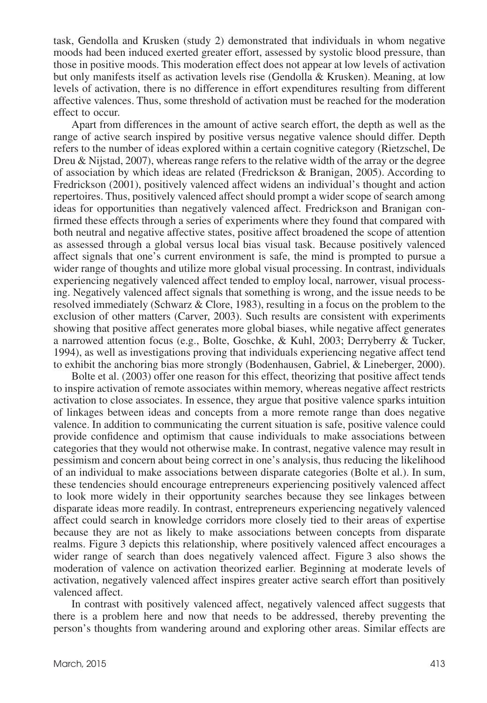task, Gendolla and Krusken (study 2) demonstrated that individuals in whom negative moods had been induced exerted greater effort, assessed by systolic blood pressure, than those in positive moods. This moderation effect does not appear at low levels of activation but only manifests itself as activation levels rise (Gendolla & Krusken). Meaning, at low levels of activation, there is no difference in effort expenditures resulting from different affective valences. Thus, some threshold of activation must be reached for the moderation effect to occur.

Apart from differences in the amount of active search effort, the depth as well as the range of active search inspired by positive versus negative valence should differ. Depth refers to the number of ideas explored within a certain cognitive category (Rietzschel, De Dreu & Nijstad, 2007), whereas range refers to the relative width of the array or the degree of association by which ideas are related (Fredrickson & Branigan, 2005). According to Fredrickson (2001), positively valenced affect widens an individual's thought and action repertoires. Thus, positively valenced affect should prompt a wider scope of search among ideas for opportunities than negatively valenced affect. Fredrickson and Branigan confirmed these effects through a series of experiments where they found that compared with both neutral and negative affective states, positive affect broadened the scope of attention as assessed through a global versus local bias visual task. Because positively valenced affect signals that one's current environment is safe, the mind is prompted to pursue a wider range of thoughts and utilize more global visual processing. In contrast, individuals experiencing negatively valenced affect tended to employ local, narrower, visual processing. Negatively valenced affect signals that something is wrong, and the issue needs to be resolved immediately (Schwarz & Clore, 1983), resulting in a focus on the problem to the exclusion of other matters (Carver, 2003). Such results are consistent with experiments showing that positive affect generates more global biases, while negative affect generates a narrowed attention focus (e.g., Bolte, Goschke, & Kuhl, 2003; Derryberry & Tucker, 1994), as well as investigations proving that individuals experiencing negative affect tend to exhibit the anchoring bias more strongly (Bodenhausen, Gabriel, & Lineberger, 2000).

Bolte et al. (2003) offer one reason for this effect, theorizing that positive affect tends to inspire activation of remote associates within memory, whereas negative affect restricts activation to close associates. In essence, they argue that positive valence sparks intuition of linkages between ideas and concepts from a more remote range than does negative valence. In addition to communicating the current situation is safe, positive valence could provide confidence and optimism that cause individuals to make associations between categories that they would not otherwise make. In contrast, negative valence may result in pessimism and concern about being correct in one's analysis, thus reducing the likelihood of an individual to make associations between disparate categories (Bolte et al.). In sum, these tendencies should encourage entrepreneurs experiencing positively valenced affect to look more widely in their opportunity searches because they see linkages between disparate ideas more readily. In contrast, entrepreneurs experiencing negatively valenced affect could search in knowledge corridors more closely tied to their areas of expertise because they are not as likely to make associations between concepts from disparate realms. Figure 3 depicts this relationship, where positively valenced affect encourages a wider range of search than does negatively valenced affect. Figure 3 also shows the moderation of valence on activation theorized earlier. Beginning at moderate levels of activation, negatively valenced affect inspires greater active search effort than positively valenced affect.

In contrast with positively valenced affect, negatively valenced affect suggests that there is a problem here and now that needs to be addressed, thereby preventing the person's thoughts from wandering around and exploring other areas. Similar effects are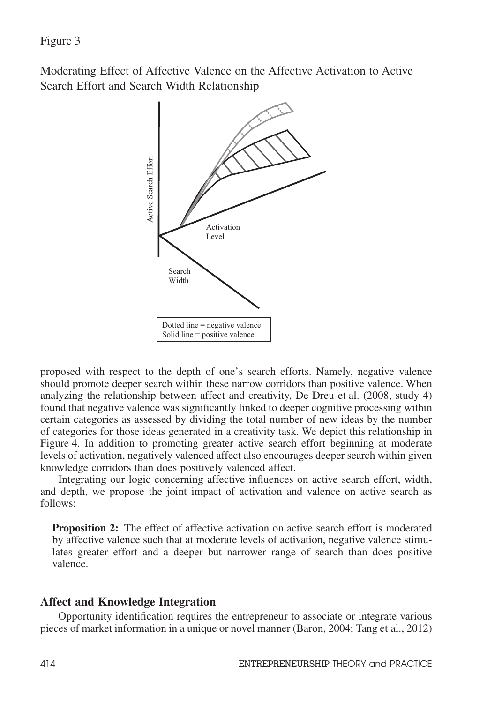Figure 3

Moderating Effect of Affective Valence on the Affective Activation to Active Search Effort and Search Width Relationship



proposed with respect to the depth of one's search efforts. Namely, negative valence should promote deeper search within these narrow corridors than positive valence. When analyzing the relationship between affect and creativity, De Dreu et al. (2008, study 4) found that negative valence was significantly linked to deeper cognitive processing within certain categories as assessed by dividing the total number of new ideas by the number of categories for those ideas generated in a creativity task. We depict this relationship in Figure 4. In addition to promoting greater active search effort beginning at moderate levels of activation, negatively valenced affect also encourages deeper search within given knowledge corridors than does positively valenced affect.

Integrating our logic concerning affective influences on active search effort, width, and depth, we propose the joint impact of activation and valence on active search as follows:

**Proposition 2:** The effect of affective activation on active search effort is moderated by affective valence such that at moderate levels of activation, negative valence stimulates greater effort and a deeper but narrower range of search than does positive valence.

## **Affect and Knowledge Integration**

Opportunity identification requires the entrepreneur to associate or integrate various pieces of market information in a unique or novel manner (Baron, 2004; Tang et al., 2012)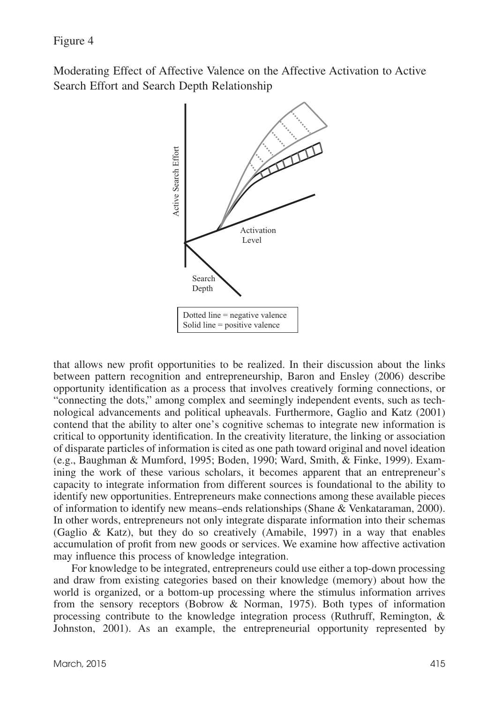Moderating Effect of Affective Valence on the Affective Activation to Active Search Effort and Search Depth Relationship



that allows new profit opportunities to be realized. In their discussion about the links between pattern recognition and entrepreneurship, Baron and Ensley (2006) describe opportunity identification as a process that involves creatively forming connections, or "connecting the dots," among complex and seemingly independent events, such as technological advancements and political upheavals. Furthermore, Gaglio and Katz (2001) contend that the ability to alter one's cognitive schemas to integrate new information is critical to opportunity identification. In the creativity literature, the linking or association of disparate particles of information is cited as one path toward original and novel ideation (e.g., Baughman & Mumford, 1995; Boden, 1990; Ward, Smith, & Finke, 1999). Examining the work of these various scholars, it becomes apparent that an entrepreneur's capacity to integrate information from different sources is foundational to the ability to identify new opportunities. Entrepreneurs make connections among these available pieces of information to identify new means–ends relationships (Shane & Venkataraman, 2000). In other words, entrepreneurs not only integrate disparate information into their schemas (Gaglio & Katz), but they do so creatively (Amabile, 1997) in a way that enables accumulation of profit from new goods or services. We examine how affective activation may influence this process of knowledge integration.

For knowledge to be integrated, entrepreneurs could use either a top-down processing and draw from existing categories based on their knowledge (memory) about how the world is organized, or a bottom-up processing where the stimulus information arrives from the sensory receptors (Bobrow & Norman, 1975). Both types of information processing contribute to the knowledge integration process (Ruthruff, Remington, & Johnston, 2001). As an example, the entrepreneurial opportunity represented by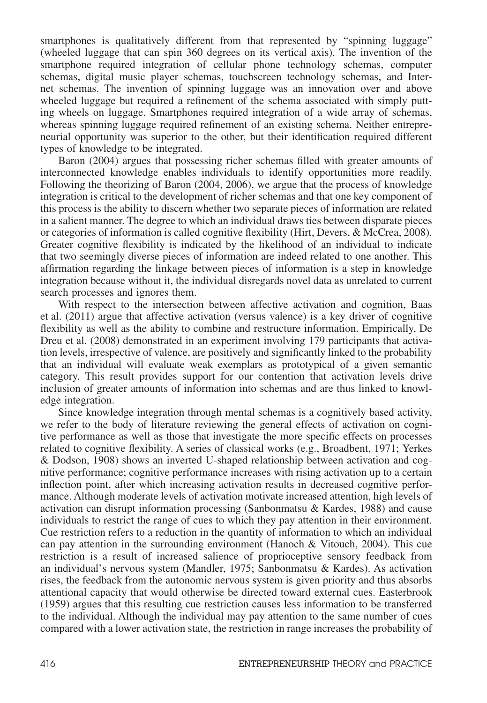smartphones is qualitatively different from that represented by "spinning luggage" (wheeled luggage that can spin 360 degrees on its vertical axis). The invention of the smartphone required integration of cellular phone technology schemas, computer schemas, digital music player schemas, touchscreen technology schemas, and Internet schemas. The invention of spinning luggage was an innovation over and above wheeled luggage but required a refinement of the schema associated with simply putting wheels on luggage. Smartphones required integration of a wide array of schemas, whereas spinning luggage required refinement of an existing schema. Neither entrepreneurial opportunity was superior to the other, but their identification required different types of knowledge to be integrated.

Baron (2004) argues that possessing richer schemas filled with greater amounts of interconnected knowledge enables individuals to identify opportunities more readily. Following the theorizing of Baron (2004, 2006), we argue that the process of knowledge integration is critical to the development of richer schemas and that one key component of this process is the ability to discern whether two separate pieces of information are related in a salient manner. The degree to which an individual draws ties between disparate pieces or categories of information is called cognitive flexibility (Hirt, Devers, & McCrea, 2008). Greater cognitive flexibility is indicated by the likelihood of an individual to indicate that two seemingly diverse pieces of information are indeed related to one another. This affirmation regarding the linkage between pieces of information is a step in knowledge integration because without it, the individual disregards novel data as unrelated to current search processes and ignores them.

With respect to the intersection between affective activation and cognition, Baas et al. (2011) argue that affective activation (versus valence) is a key driver of cognitive flexibility as well as the ability to combine and restructure information. Empirically, De Dreu et al. (2008) demonstrated in an experiment involving 179 participants that activation levels, irrespective of valence, are positively and significantly linked to the probability that an individual will evaluate weak exemplars as prototypical of a given semantic category. This result provides support for our contention that activation levels drive inclusion of greater amounts of information into schemas and are thus linked to knowledge integration.

Since knowledge integration through mental schemas is a cognitively based activity, we refer to the body of literature reviewing the general effects of activation on cognitive performance as well as those that investigate the more specific effects on processes related to cognitive flexibility. A series of classical works (e.g., Broadbent, 1971; Yerkes & Dodson, 1908) shows an inverted U-shaped relationship between activation and cognitive performance; cognitive performance increases with rising activation up to a certain inflection point, after which increasing activation results in decreased cognitive performance. Although moderate levels of activation motivate increased attention, high levels of activation can disrupt information processing (Sanbonmatsu & Kardes, 1988) and cause individuals to restrict the range of cues to which they pay attention in their environment. Cue restriction refers to a reduction in the quantity of information to which an individual can pay attention in the surrounding environment (Hanoch & Vitouch, 2004). This cue restriction is a result of increased salience of proprioceptive sensory feedback from an individual's nervous system (Mandler, 1975; Sanbonmatsu & Kardes). As activation rises, the feedback from the autonomic nervous system is given priority and thus absorbs attentional capacity that would otherwise be directed toward external cues. Easterbrook (1959) argues that this resulting cue restriction causes less information to be transferred to the individual. Although the individual may pay attention to the same number of cues compared with a lower activation state, the restriction in range increases the probability of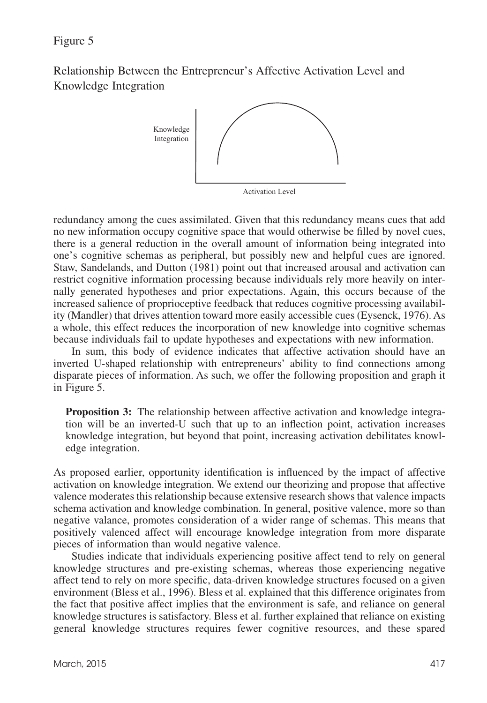Relationship Between the Entrepreneur's Affective Activation Level and Knowledge Integration



Activation Level

redundancy among the cues assimilated. Given that this redundancy means cues that add no new information occupy cognitive space that would otherwise be filled by novel cues, there is a general reduction in the overall amount of information being integrated into one's cognitive schemas as peripheral, but possibly new and helpful cues are ignored. Staw, Sandelands, and Dutton (1981) point out that increased arousal and activation can restrict cognitive information processing because individuals rely more heavily on internally generated hypotheses and prior expectations. Again, this occurs because of the increased salience of proprioceptive feedback that reduces cognitive processing availability (Mandler) that drives attention toward more easily accessible cues (Eysenck, 1976). As a whole, this effect reduces the incorporation of new knowledge into cognitive schemas because individuals fail to update hypotheses and expectations with new information.

In sum, this body of evidence indicates that affective activation should have an inverted U-shaped relationship with entrepreneurs' ability to find connections among disparate pieces of information. As such, we offer the following proposition and graph it in Figure 5.

**Proposition 3:** The relationship between affective activation and knowledge integration will be an inverted-U such that up to an inflection point, activation increases knowledge integration, but beyond that point, increasing activation debilitates knowledge integration.

As proposed earlier, opportunity identification is influenced by the impact of affective activation on knowledge integration. We extend our theorizing and propose that affective valence moderates this relationship because extensive research shows that valence impacts schema activation and knowledge combination. In general, positive valence, more so than negative valance, promotes consideration of a wider range of schemas. This means that positively valenced affect will encourage knowledge integration from more disparate pieces of information than would negative valence.

Studies indicate that individuals experiencing positive affect tend to rely on general knowledge structures and pre-existing schemas, whereas those experiencing negative affect tend to rely on more specific, data-driven knowledge structures focused on a given environment (Bless et al., 1996). Bless et al. explained that this difference originates from the fact that positive affect implies that the environment is safe, and reliance on general knowledge structures is satisfactory. Bless et al. further explained that reliance on existing general knowledge structures requires fewer cognitive resources, and these spared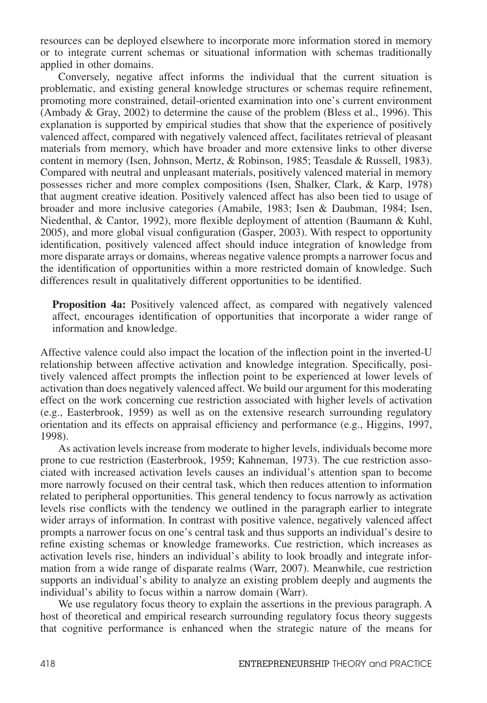resources can be deployed elsewhere to incorporate more information stored in memory or to integrate current schemas or situational information with schemas traditionally applied in other domains.

Conversely, negative affect informs the individual that the current situation is problematic, and existing general knowledge structures or schemas require refinement, promoting more constrained, detail-oriented examination into one's current environment (Ambady & Gray, 2002) to determine the cause of the problem (Bless et al., 1996). This explanation is supported by empirical studies that show that the experience of positively valenced affect, compared with negatively valenced affect, facilitates retrieval of pleasant materials from memory, which have broader and more extensive links to other diverse content in memory (Isen, Johnson, Mertz, & Robinson, 1985; Teasdale & Russell, 1983). Compared with neutral and unpleasant materials, positively valenced material in memory possesses richer and more complex compositions (Isen, Shalker, Clark, & Karp, 1978) that augment creative ideation. Positively valenced affect has also been tied to usage of broader and more inclusive categories (Amabile, 1983; Isen & Daubman, 1984; Isen, Niedenthal, & Cantor, 1992), more flexible deployment of attention (Baumann & Kuhl, 2005), and more global visual configuration (Gasper, 2003). With respect to opportunity identification, positively valenced affect should induce integration of knowledge from more disparate arrays or domains, whereas negative valence prompts a narrower focus and the identification of opportunities within a more restricted domain of knowledge. Such differences result in qualitatively different opportunities to be identified.

**Proposition 4a:** Positively valenced affect, as compared with negatively valenced affect, encourages identification of opportunities that incorporate a wider range of information and knowledge.

Affective valence could also impact the location of the inflection point in the inverted-U relationship between affective activation and knowledge integration. Specifically, positively valenced affect prompts the inflection point to be experienced at lower levels of activation than does negatively valenced affect. We build our argument for this moderating effect on the work concerning cue restriction associated with higher levels of activation (e.g., Easterbrook, 1959) as well as on the extensive research surrounding regulatory orientation and its effects on appraisal efficiency and performance (e.g., Higgins, 1997, 1998).

As activation levels increase from moderate to higher levels, individuals become more prone to cue restriction (Easterbrook, 1959; Kahneman, 1973). The cue restriction associated with increased activation levels causes an individual's attention span to become more narrowly focused on their central task, which then reduces attention to information related to peripheral opportunities. This general tendency to focus narrowly as activation levels rise conflicts with the tendency we outlined in the paragraph earlier to integrate wider arrays of information. In contrast with positive valence, negatively valenced affect prompts a narrower focus on one's central task and thus supports an individual's desire to refine existing schemas or knowledge frameworks. Cue restriction, which increases as activation levels rise, hinders an individual's ability to look broadly and integrate information from a wide range of disparate realms (Warr, 2007). Meanwhile, cue restriction supports an individual's ability to analyze an existing problem deeply and augments the individual's ability to focus within a narrow domain (Warr).

We use regulatory focus theory to explain the assertions in the previous paragraph. A host of theoretical and empirical research surrounding regulatory focus theory suggests that cognitive performance is enhanced when the strategic nature of the means for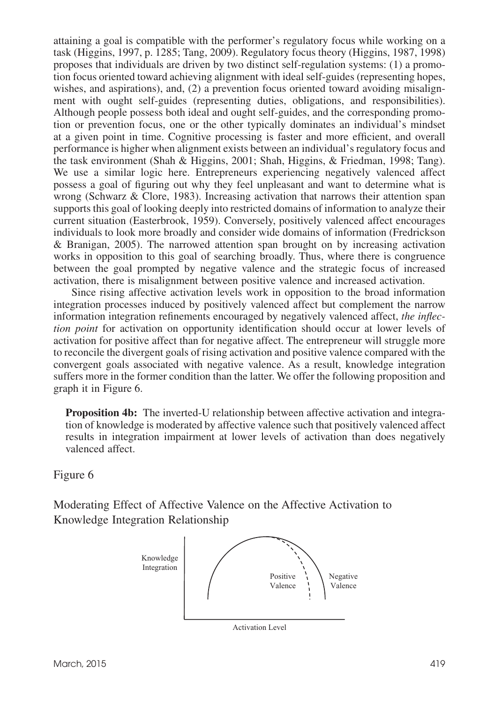attaining a goal is compatible with the performer's regulatory focus while working on a task (Higgins, 1997, p. 1285; Tang, 2009). Regulatory focus theory (Higgins, 1987, 1998) proposes that individuals are driven by two distinct self-regulation systems: (1) a promotion focus oriented toward achieving alignment with ideal self-guides (representing hopes, wishes, and aspirations), and, (2) a prevention focus oriented toward avoiding misalignment with ought self-guides (representing duties, obligations, and responsibilities). Although people possess both ideal and ought self-guides, and the corresponding promotion or prevention focus, one or the other typically dominates an individual's mindset at a given point in time. Cognitive processing is faster and more efficient, and overall performance is higher when alignment exists between an individual's regulatory focus and the task environment (Shah & Higgins, 2001; Shah, Higgins, & Friedman, 1998; Tang). We use a similar logic here. Entrepreneurs experiencing negatively valenced affect possess a goal of figuring out why they feel unpleasant and want to determine what is wrong (Schwarz & Clore, 1983). Increasing activation that narrows their attention span supports this goal of looking deeply into restricted domains of information to analyze their current situation (Easterbrook, 1959). Conversely, positively valenced affect encourages individuals to look more broadly and consider wide domains of information (Fredrickson & Branigan, 2005). The narrowed attention span brought on by increasing activation works in opposition to this goal of searching broadly. Thus, where there is congruence between the goal prompted by negative valence and the strategic focus of increased activation, there is misalignment between positive valence and increased activation.

Since rising affective activation levels work in opposition to the broad information integration processes induced by positively valenced affect but complement the narrow information integration refinements encouraged by negatively valenced affect, *the inflection point* for activation on opportunity identification should occur at lower levels of activation for positive affect than for negative affect. The entrepreneur will struggle more to reconcile the divergent goals of rising activation and positive valence compared with the convergent goals associated with negative valence. As a result, knowledge integration suffers more in the former condition than the latter. We offer the following proposition and graph it in Figure 6.

**Proposition 4b:** The inverted-U relationship between affective activation and integration of knowledge is moderated by affective valence such that positively valenced affect results in integration impairment at lower levels of activation than does negatively valenced affect.

Figure 6

Moderating Effect of Affective Valence on the Affective Activation to Knowledge Integration Relationship

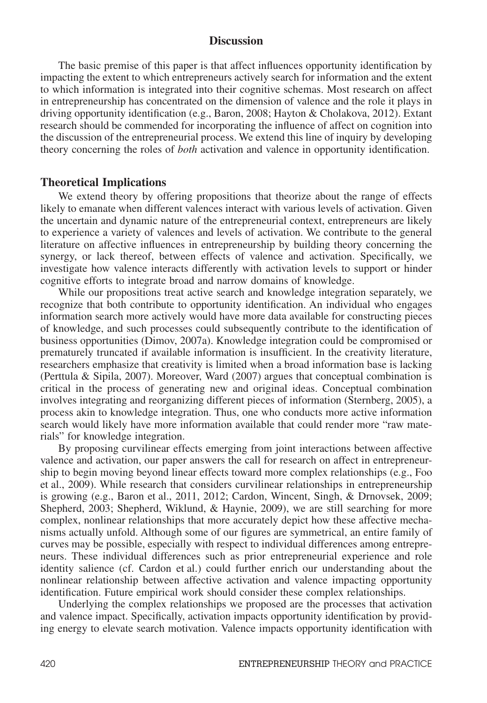#### **Discussion**

The basic premise of this paper is that affect influences opportunity identification by impacting the extent to which entrepreneurs actively search for information and the extent to which information is integrated into their cognitive schemas. Most research on affect in entrepreneurship has concentrated on the dimension of valence and the role it plays in driving opportunity identification (e.g., Baron, 2008; Hayton & Cholakova, 2012). Extant research should be commended for incorporating the influence of affect on cognition into the discussion of the entrepreneurial process. We extend this line of inquiry by developing theory concerning the roles of *both* activation and valence in opportunity identification.

#### **Theoretical Implications**

We extend theory by offering propositions that theorize about the range of effects likely to emanate when different valences interact with various levels of activation. Given the uncertain and dynamic nature of the entrepreneurial context, entrepreneurs are likely to experience a variety of valences and levels of activation. We contribute to the general literature on affective influences in entrepreneurship by building theory concerning the synergy, or lack thereof, between effects of valence and activation. Specifically, we investigate how valence interacts differently with activation levels to support or hinder cognitive efforts to integrate broad and narrow domains of knowledge.

While our propositions treat active search and knowledge integration separately, we recognize that both contribute to opportunity identification. An individual who engages information search more actively would have more data available for constructing pieces of knowledge, and such processes could subsequently contribute to the identification of business opportunities (Dimov, 2007a). Knowledge integration could be compromised or prematurely truncated if available information is insufficient. In the creativity literature, researchers emphasize that creativity is limited when a broad information base is lacking (Perttula & Sipila, 2007). Moreover, Ward (2007) argues that conceptual combination is critical in the process of generating new and original ideas. Conceptual combination involves integrating and reorganizing different pieces of information (Sternberg, 2005), a process akin to knowledge integration. Thus, one who conducts more active information search would likely have more information available that could render more "raw materials" for knowledge integration.

By proposing curvilinear effects emerging from joint interactions between affective valence and activation, our paper answers the call for research on affect in entrepreneurship to begin moving beyond linear effects toward more complex relationships (e.g., Foo et al., 2009). While research that considers curvilinear relationships in entrepreneurship is growing (e.g., Baron et al., 2011, 2012; Cardon, Wincent, Singh, & Drnovsek, 2009; Shepherd, 2003; Shepherd, Wiklund, & Haynie, 2009), we are still searching for more complex, nonlinear relationships that more accurately depict how these affective mechanisms actually unfold. Although some of our figures are symmetrical, an entire family of curves may be possible, especially with respect to individual differences among entrepreneurs. These individual differences such as prior entrepreneurial experience and role identity salience (cf. Cardon et al.) could further enrich our understanding about the nonlinear relationship between affective activation and valence impacting opportunity identification. Future empirical work should consider these complex relationships.

Underlying the complex relationships we proposed are the processes that activation and valence impact. Specifically, activation impacts opportunity identification by providing energy to elevate search motivation. Valence impacts opportunity identification with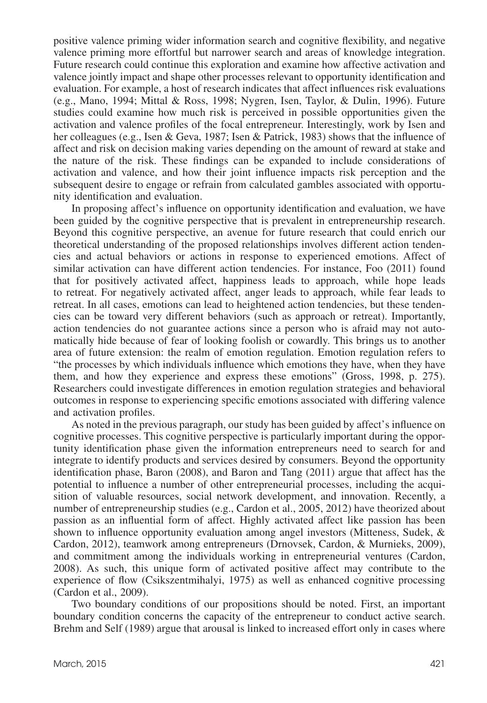positive valence priming wider information search and cognitive flexibility, and negative valence priming more effortful but narrower search and areas of knowledge integration. Future research could continue this exploration and examine how affective activation and valence jointly impact and shape other processes relevant to opportunity identification and evaluation. For example, a host of research indicates that affect influences risk evaluations (e.g., Mano, 1994; Mittal & Ross, 1998; Nygren, Isen, Taylor, & Dulin, 1996). Future studies could examine how much risk is perceived in possible opportunities given the activation and valence profiles of the focal entrepreneur. Interestingly, work by Isen and her colleagues (e.g., Isen & Geva, 1987; Isen & Patrick, 1983) shows that the influence of affect and risk on decision making varies depending on the amount of reward at stake and the nature of the risk. These findings can be expanded to include considerations of activation and valence, and how their joint influence impacts risk perception and the subsequent desire to engage or refrain from calculated gambles associated with opportunity identification and evaluation.

In proposing affect's influence on opportunity identification and evaluation, we have been guided by the cognitive perspective that is prevalent in entrepreneurship research. Beyond this cognitive perspective, an avenue for future research that could enrich our theoretical understanding of the proposed relationships involves different action tendencies and actual behaviors or actions in response to experienced emotions. Affect of similar activation can have different action tendencies. For instance, Foo (2011) found that for positively activated affect, happiness leads to approach, while hope leads to retreat. For negatively activated affect, anger leads to approach, while fear leads to retreat. In all cases, emotions can lead to heightened action tendencies, but these tendencies can be toward very different behaviors (such as approach or retreat). Importantly, action tendencies do not guarantee actions since a person who is afraid may not automatically hide because of fear of looking foolish or cowardly. This brings us to another area of future extension: the realm of emotion regulation. Emotion regulation refers to "the processes by which individuals influence which emotions they have, when they have them, and how they experience and express these emotions" (Gross, 1998, p. 275). Researchers could investigate differences in emotion regulation strategies and behavioral outcomes in response to experiencing specific emotions associated with differing valence and activation profiles.

As noted in the previous paragraph, our study has been guided by affect's influence on cognitive processes. This cognitive perspective is particularly important during the opportunity identification phase given the information entrepreneurs need to search for and integrate to identify products and services desired by consumers. Beyond the opportunity identification phase, Baron (2008), and Baron and Tang (2011) argue that affect has the potential to influence a number of other entrepreneurial processes, including the acquisition of valuable resources, social network development, and innovation. Recently, a number of entrepreneurship studies (e.g., Cardon et al., 2005, 2012) have theorized about passion as an influential form of affect. Highly activated affect like passion has been shown to influence opportunity evaluation among angel investors (Mitteness, Sudek, & Cardon, 2012), teamwork among entrepreneurs (Drnovsek, Cardon, & Murnieks, 2009), and commitment among the individuals working in entrepreneurial ventures (Cardon, 2008). As such, this unique form of activated positive affect may contribute to the experience of flow (Csikszentmihalyi, 1975) as well as enhanced cognitive processing (Cardon et al., 2009).

Two boundary conditions of our propositions should be noted. First, an important boundary condition concerns the capacity of the entrepreneur to conduct active search. Brehm and Self (1989) argue that arousal is linked to increased effort only in cases where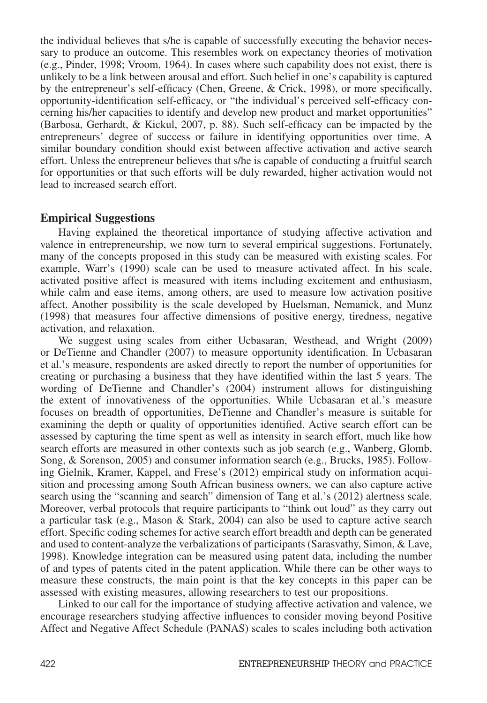the individual believes that s/he is capable of successfully executing the behavior necessary to produce an outcome. This resembles work on expectancy theories of motivation (e.g., Pinder, 1998; Vroom, 1964). In cases where such capability does not exist, there is unlikely to be a link between arousal and effort. Such belief in one's capability is captured by the entrepreneur's self-efficacy (Chen, Greene, & Crick, 1998), or more specifically, opportunity-identification self-efficacy, or "the individual's perceived self-efficacy concerning his/her capacities to identify and develop new product and market opportunities" (Barbosa, Gerhardt, & Kickul, 2007, p. 88). Such self-efficacy can be impacted by the entrepreneurs' degree of success or failure in identifying opportunities over time. A similar boundary condition should exist between affective activation and active search effort. Unless the entrepreneur believes that s/he is capable of conducting a fruitful search for opportunities or that such efforts will be duly rewarded, higher activation would not lead to increased search effort.

#### **Empirical Suggestions**

Having explained the theoretical importance of studying affective activation and valence in entrepreneurship, we now turn to several empirical suggestions. Fortunately, many of the concepts proposed in this study can be measured with existing scales. For example, Warr's (1990) scale can be used to measure activated affect. In his scale, activated positive affect is measured with items including excitement and enthusiasm, while calm and ease items, among others, are used to measure low activation positive affect. Another possibility is the scale developed by Huelsman, Nemanick, and Munz (1998) that measures four affective dimensions of positive energy, tiredness, negative activation, and relaxation.

We suggest using scales from either Ucbasaran, Westhead, and Wright (2009) or DeTienne and Chandler (2007) to measure opportunity identification. In Ucbasaran et al.'s measure, respondents are asked directly to report the number of opportunities for creating or purchasing a business that they have identified within the last 5 years. The wording of DeTienne and Chandler's (2004) instrument allows for distinguishing the extent of innovativeness of the opportunities. While Ucbasaran et al.'s measure focuses on breadth of opportunities, DeTienne and Chandler's measure is suitable for examining the depth or quality of opportunities identified. Active search effort can be assessed by capturing the time spent as well as intensity in search effort, much like how search efforts are measured in other contexts such as job search (e.g., Wanberg, Glomb, Song, & Sorenson, 2005) and consumer information search (e.g., Brucks, 1985). Following Gielnik, Kramer, Kappel, and Frese's (2012) empirical study on information acquisition and processing among South African business owners, we can also capture active search using the "scanning and search" dimension of Tang et al.'s (2012) alertness scale. Moreover, verbal protocols that require participants to "think out loud" as they carry out a particular task (e.g., Mason & Stark, 2004) can also be used to capture active search effort. Specific coding schemes for active search effort breadth and depth can be generated and used to content-analyze the verbalizations of participants (Sarasvathy, Simon, & Lave, 1998). Knowledge integration can be measured using patent data, including the number of and types of patents cited in the patent application. While there can be other ways to measure these constructs, the main point is that the key concepts in this paper can be assessed with existing measures, allowing researchers to test our propositions.

Linked to our call for the importance of studying affective activation and valence, we encourage researchers studying affective influences to consider moving beyond Positive Affect and Negative Affect Schedule (PANAS) scales to scales including both activation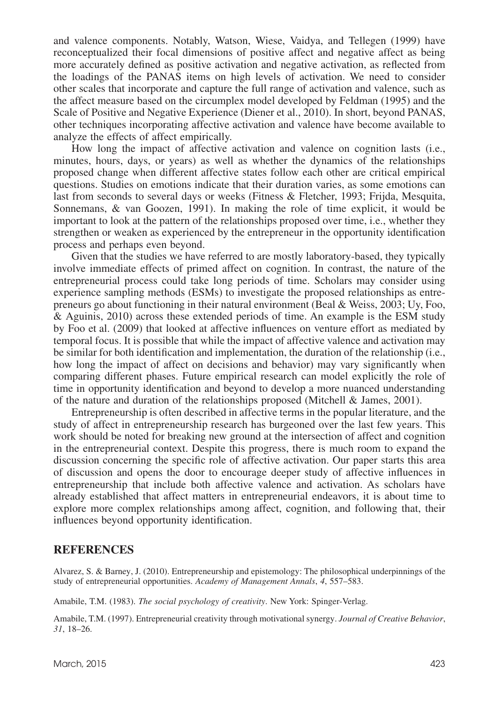and valence components. Notably, Watson, Wiese, Vaidya, and Tellegen (1999) have reconceptualized their focal dimensions of positive affect and negative affect as being more accurately defined as positive activation and negative activation, as reflected from the loadings of the PANAS items on high levels of activation. We need to consider other scales that incorporate and capture the full range of activation and valence, such as the affect measure based on the circumplex model developed by Feldman (1995) and the Scale of Positive and Negative Experience (Diener et al., 2010). In short, beyond PANAS, other techniques incorporating affective activation and valence have become available to analyze the effects of affect empirically.

How long the impact of affective activation and valence on cognition lasts (i.e., minutes, hours, days, or years) as well as whether the dynamics of the relationships proposed change when different affective states follow each other are critical empirical questions. Studies on emotions indicate that their duration varies, as some emotions can last from seconds to several days or weeks (Fitness & Fletcher, 1993; Frijda, Mesquita, Sonnemans, & van Goozen, 1991). In making the role of time explicit, it would be important to look at the pattern of the relationships proposed over time, i.e., whether they strengthen or weaken as experienced by the entrepreneur in the opportunity identification process and perhaps even beyond.

Given that the studies we have referred to are mostly laboratory-based, they typically involve immediate effects of primed affect on cognition. In contrast, the nature of the entrepreneurial process could take long periods of time. Scholars may consider using experience sampling methods (ESMs) to investigate the proposed relationships as entrepreneurs go about functioning in their natural environment (Beal & Weiss, 2003; Uy, Foo, & Aguinis, 2010) across these extended periods of time. An example is the ESM study by Foo et al. (2009) that looked at affective influences on venture effort as mediated by temporal focus. It is possible that while the impact of affective valence and activation may be similar for both identification and implementation, the duration of the relationship (i.e., how long the impact of affect on decisions and behavior) may vary significantly when comparing different phases. Future empirical research can model explicitly the role of time in opportunity identification and beyond to develop a more nuanced understanding of the nature and duration of the relationships proposed (Mitchell & James, 2001).

Entrepreneurship is often described in affective terms in the popular literature, and the study of affect in entrepreneurship research has burgeoned over the last few years. This work should be noted for breaking new ground at the intersection of affect and cognition in the entrepreneurial context. Despite this progress, there is much room to expand the discussion concerning the specific role of affective activation. Our paper starts this area of discussion and opens the door to encourage deeper study of affective influences in entrepreneurship that include both affective valence and activation. As scholars have already established that affect matters in entrepreneurial endeavors, it is about time to explore more complex relationships among affect, cognition, and following that, their influences beyond opportunity identification.

## **REFERENCES**

Alvarez, S. & Barney, J. (2010). Entrepreneurship and epistemology: The philosophical underpinnings of the study of entrepreneurial opportunities. *Academy of Management Annals*, *4*, 557–583.

Amabile, T.M. (1983). *The social psychology of creativity*. New York: Spinger-Verlag.

Amabile, T.M. (1997). Entrepreneurial creativity through motivational synergy. *Journal of Creative Behavior*, *31*, 18–26.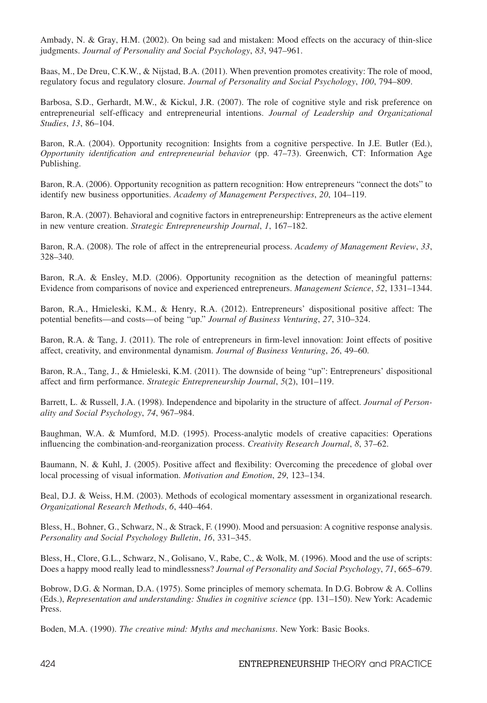Ambady, N. & Gray, H.M. (2002). On being sad and mistaken: Mood effects on the accuracy of thin-slice judgments. *Journal of Personality and Social Psychology*, *83*, 947–961.

Baas, M., De Dreu, C.K.W., & Nijstad, B.A. (2011). When prevention promotes creativity: The role of mood, regulatory focus and regulatory closure. *Journal of Personality and Social Psychology*, *100*, 794–809.

Barbosa, S.D., Gerhardt, M.W., & Kickul, J.R. (2007). The role of cognitive style and risk preference on entrepreneurial self-efficacy and entrepreneurial intentions. *Journal of Leadership and Organizational Studies*, *13*, 86–104.

Baron, R.A. (2004). Opportunity recognition: Insights from a cognitive perspective. In J.E. Butler (Ed.), *Opportunity identification and entrepreneurial behavior* (pp. 47–73). Greenwich, CT: Information Age Publishing.

Baron, R.A. (2006). Opportunity recognition as pattern recognition: How entrepreneurs "connect the dots" to identify new business opportunities. *Academy of Management Perspectives*, *20*, 104–119.

Baron, R.A. (2007). Behavioral and cognitive factors in entrepreneurship: Entrepreneurs as the active element in new venture creation. *Strategic Entrepreneurship Journal*, *1*, 167–182.

Baron, R.A. (2008). The role of affect in the entrepreneurial process. *Academy of Management Review*, *33*, 328–340.

Baron, R.A. & Ensley, M.D. (2006). Opportunity recognition as the detection of meaningful patterns: Evidence from comparisons of novice and experienced entrepreneurs. *Management Science*, *52*, 1331–1344.

Baron, R.A., Hmieleski, K.M., & Henry, R.A. (2012). Entrepreneurs' dispositional positive affect: The potential benefits—and costs—of being "up." *Journal of Business Venturing*, *27*, 310–324.

Baron, R.A. & Tang, J. (2011). The role of entrepreneurs in firm-level innovation: Joint effects of positive affect, creativity, and environmental dynamism. *Journal of Business Venturing*, *26*, 49–60.

Baron, R.A., Tang, J., & Hmieleski, K.M. (2011). The downside of being "up": Entrepreneurs' dispositional affect and firm performance. *Strategic Entrepreneurship Journal*, *5*(2), 101–119.

Barrett, L. & Russell, J.A. (1998). Independence and bipolarity in the structure of affect. *Journal of Personality and Social Psychology*, *74*, 967–984.

Baughman, W.A. & Mumford, M.D. (1995). Process-analytic models of creative capacities: Operations influencing the combination-and-reorganization process. *Creativity Research Journal*, *8*, 37–62.

Baumann, N. & Kuhl, J. (2005). Positive affect and flexibility: Overcoming the precedence of global over local processing of visual information. *Motivation and Emotion*, *29*, 123–134.

Beal, D.J. & Weiss, H.M. (2003). Methods of ecological momentary assessment in organizational research. *Organizational Research Methods*, *6*, 440–464.

Bless, H., Bohner, G., Schwarz, N., & Strack, F. (1990). Mood and persuasion: A cognitive response analysis. *Personality and Social Psychology Bulletin*, *16*, 331–345.

Bless, H., Clore, G.L., Schwarz, N., Golisano, V., Rabe, C., & Wolk, M. (1996). Mood and the use of scripts: Does a happy mood really lead to mindlessness? *Journal of Personality and Social Psychology*, *71*, 665–679.

Bobrow, D.G. & Norman, D.A. (1975). Some principles of memory schemata. In D.G. Bobrow & A. Collins (Eds.), *Representation and understanding: Studies in cognitive science* (pp. 131–150). New York: Academic Press.

Boden, M.A. (1990). *The creative mind: Myths and mechanisms*. New York: Basic Books.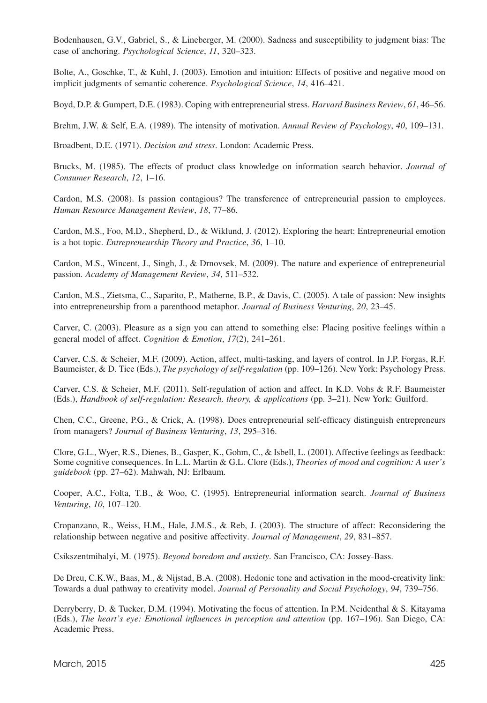Bodenhausen, G.V., Gabriel, S., & Lineberger, M. (2000). Sadness and susceptibility to judgment bias: The case of anchoring. *Psychological Science*, *11*, 320–323.

Bolte, A., Goschke, T., & Kuhl, J. (2003). Emotion and intuition: Effects of positive and negative mood on implicit judgments of semantic coherence. *Psychological Science*, *14*, 416–421.

Boyd, D.P. & Gumpert, D.E. (1983). Coping with entrepreneurial stress. *Harvard Business Review*, *61*, 46–56.

Brehm, J.W. & Self, E.A. (1989). The intensity of motivation. *Annual Review of Psychology*, *40*, 109–131.

Broadbent, D.E. (1971). *Decision and stress*. London: Academic Press.

Brucks, M. (1985). The effects of product class knowledge on information search behavior. *Journal of Consumer Research*, *12*, 1–16.

Cardon, M.S. (2008). Is passion contagious? The transference of entrepreneurial passion to employees. *Human Resource Management Review*, *18*, 77–86.

Cardon, M.S., Foo, M.D., Shepherd, D., & Wiklund, J. (2012). Exploring the heart: Entrepreneurial emotion is a hot topic. *Entrepreneurship Theory and Practice*, *36*, 1–10.

Cardon, M.S., Wincent, J., Singh, J., & Drnovsek, M. (2009). The nature and experience of entrepreneurial passion. *Academy of Management Review*, *34*, 511–532.

Cardon, M.S., Zietsma, C., Saparito, P., Matherne, B.P., & Davis, C. (2005). A tale of passion: New insights into entrepreneurship from a parenthood metaphor. *Journal of Business Venturing*, *20*, 23–45.

Carver, C. (2003). Pleasure as a sign you can attend to something else: Placing positive feelings within a general model of affect. *Cognition & Emotion*, *17*(2), 241–261.

Carver, C.S. & Scheier, M.F. (2009). Action, affect, multi-tasking, and layers of control. In J.P. Forgas, R.F. Baumeister, & D. Tice (Eds.), *The psychology of self-regulation* (pp. 109–126). New York: Psychology Press.

Carver, C.S. & Scheier, M.F. (2011). Self-regulation of action and affect. In K.D. Vohs & R.F. Baumeister (Eds.), *Handbook of self-regulation: Research, theory, & applications* (pp. 3–21). New York: Guilford.

Chen, C.C., Greene, P.G., & Crick, A. (1998). Does entrepreneurial self-efficacy distinguish entrepreneurs from managers? *Journal of Business Venturing*, *13*, 295–316.

Clore, G.L., Wyer, R.S., Dienes, B., Gasper, K., Gohm, C., & Isbell, L. (2001). Affective feelings as feedback: Some cognitive consequences. In L.L. Martin & G.L. Clore (Eds.), *Theories of mood and cognition: A user's guidebook* (pp. 27–62). Mahwah, NJ: Erlbaum.

Cooper, A.C., Folta, T.B., & Woo, C. (1995). Entrepreneurial information search. *Journal of Business Venturing*, *10*, 107–120.

Cropanzano, R., Weiss, H.M., Hale, J.M.S., & Reb, J. (2003). The structure of affect: Reconsidering the relationship between negative and positive affectivity. *Journal of Management*, *29*, 831–857.

Csikszentmihalyi, M. (1975). *Beyond boredom and anxiety*. San Francisco, CA: Jossey-Bass.

De Dreu, C.K.W., Baas, M., & Nijstad, B.A. (2008). Hedonic tone and activation in the mood-creativity link: Towards a dual pathway to creativity model. *Journal of Personality and Social Psychology*, *94*, 739–756.

Derryberry, D. & Tucker, D.M. (1994). Motivating the focus of attention. In P.M. Neidenthal & S. Kitayama (Eds.), *The heart's eye: Emotional influences in perception and attention* (pp. 167–196). San Diego, CA: Academic Press.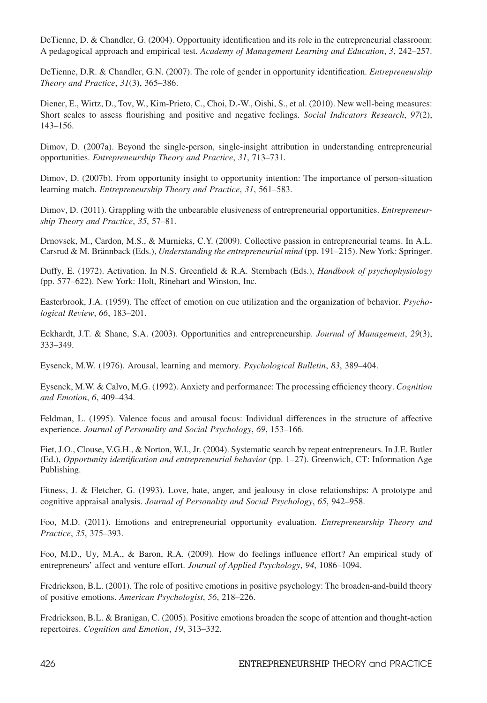DeTienne, D. & Chandler, G. (2004). Opportunity identification and its role in the entrepreneurial classroom: A pedagogical approach and empirical test. *Academy of Management Learning and Education*, *3*, 242–257.

DeTienne, D.R. & Chandler, G.N. (2007). The role of gender in opportunity identification. *Entrepreneurship Theory and Practice*, *31*(3), 365–386.

Diener, E., Wirtz, D., Tov, W., Kim-Prieto, C., Choi, D.-W., Oishi, S., et al. (2010). New well-being measures: Short scales to assess flourishing and positive and negative feelings. *Social Indicators Research*, *97*(2), 143–156.

Dimov, D. (2007a). Beyond the single-person, single-insight attribution in understanding entrepreneurial opportunities. *Entrepreneurship Theory and Practice*, *31*, 713–731.

Dimov, D. (2007b). From opportunity insight to opportunity intention: The importance of person-situation learning match. *Entrepreneurship Theory and Practice*, *31*, 561–583.

Dimov, D. (2011). Grappling with the unbearable elusiveness of entrepreneurial opportunities. *Entrepreneurship Theory and Practice*, *35*, 57–81.

Drnovsek, M., Cardon, M.S., & Murnieks, C.Y. (2009). Collective passion in entrepreneurial teams. In A.L. Carsrud & M. Brännback (Eds.), *Understanding the entrepreneurial mind* (pp. 191–215). NewYork: Springer.

Duffy, E. (1972). Activation. In N.S. Greenfield & R.A. Sternbach (Eds.), *Handbook of psychophysiology* (pp. 577–622). New York: Holt, Rinehart and Winston, Inc.

Easterbrook, J.A. (1959). The effect of emotion on cue utilization and the organization of behavior. *Psychological Review*, *66*, 183–201.

Eckhardt, J.T. & Shane, S.A. (2003). Opportunities and entrepreneurship. *Journal of Management*, *29*(3), 333–349.

Eysenck, M.W. (1976). Arousal, learning and memory. *Psychological Bulletin*, *83*, 389–404.

Eysenck, M.W. & Calvo, M.G. (1992). Anxiety and performance: The processing efficiency theory. *Cognition and Emotion*, *6*, 409–434.

Feldman, L. (1995). Valence focus and arousal focus: Individual differences in the structure of affective experience. *Journal of Personality and Social Psychology*, *69*, 153–166.

Fiet, J.O., Clouse, V.G.H., & Norton, W.I., Jr. (2004). Systematic search by repeat entrepreneurs. In J.E. Butler (Ed.), *Opportunity identification and entrepreneurial behavior* (pp. 1–27). Greenwich, CT: Information Age Publishing.

Fitness, J. & Fletcher, G. (1993). Love, hate, anger, and jealousy in close relationships: A prototype and cognitive appraisal analysis. *Journal of Personality and Social Psychology*, *65*, 942–958.

Foo, M.D. (2011). Emotions and entrepreneurial opportunity evaluation. *Entrepreneurship Theory and Practice*, *35*, 375–393.

Foo, M.D., Uy, M.A., & Baron, R.A. (2009). How do feelings influence effort? An empirical study of entrepreneurs' affect and venture effort. *Journal of Applied Psychology*, *94*, 1086–1094.

Fredrickson, B.L. (2001). The role of positive emotions in positive psychology: The broaden-and-build theory of positive emotions. *American Psychologist*, *56*, 218–226.

Fredrickson, B.L. & Branigan, C. (2005). Positive emotions broaden the scope of attention and thought-action repertoires. *Cognition and Emotion*, *19*, 313–332.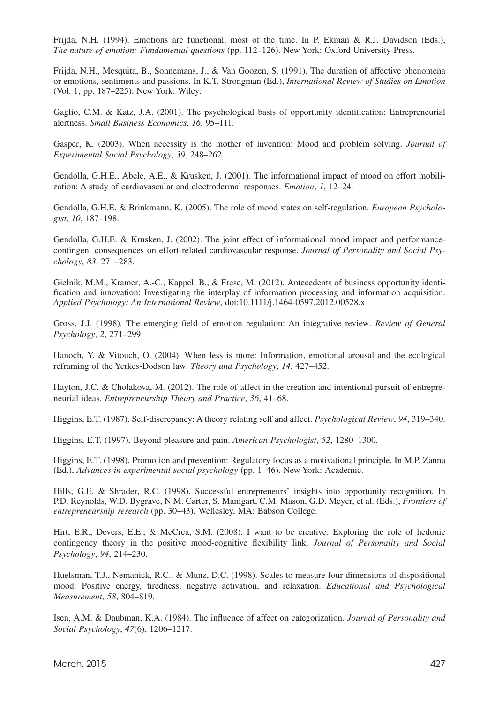Frijda, N.H. (1994). Emotions are functional, most of the time. In P. Ekman & R.J. Davidson (Eds.), *The nature of emotion: Fundamental questions* (pp. 112–126). New York: Oxford University Press.

Frijda, N.H., Mesquita, B., Sonnemans, J., & Van Goozen, S. (1991). The duration of affective phenomena or emotions, sentiments and passions. In K.T. Strongman (Ed.), *International Review of Studies on Emotion* (Vol. 1, pp. 187–225). New York: Wiley.

Gaglio, C.M. & Katz, J.A. (2001). The psychological basis of opportunity identification: Entrepreneurial alertness. *Small Business Economics*, *16*, 95–111.

Gasper, K. (2003). When necessity is the mother of invention: Mood and problem solving. *Journal of Experimental Social Psychology*, *39*, 248–262.

Gendolla, G.H.E., Abele, A.E., & Krusken, J. (2001). The informational impact of mood on effort mobilization: A study of cardiovascular and electrodermal responses. *Emotion*, *1*, 12–24.

Gendolla, G.H.E. & Brinkmann, K. (2005). The role of mood states on self-regulation. *European Psychologist*, *10*, 187–198.

Gendolla, G.H.E. & Krusken, J. (2002). The joint effect of informational mood impact and performancecontingent consequences on effort-related cardiovascular response. *Journal of Personality and Social Psychology*, *83*, 271–283.

Gielnik, M.M., Kramer, A.-C., Kappel, B., & Frese, M. (2012). Antecedents of business opportunity identification and innovation: Investigating the interplay of information processing and information acquisition. *Applied Psychology: An International Review*, doi:10.1111/j.1464-0597.2012.00528.x

Gross, J.J. (1998). The emerging field of emotion regulation: An integrative review. *Review of General Psychology*, *2*, 271–299.

Hanoch, Y. & Vitouch, O. (2004). When less is more: Information, emotional arousal and the ecological reframing of the Yerkes-Dodson law. *Theory and Psychology*, *14*, 427–452.

Hayton, J.C. & Cholakova, M. (2012). The role of affect in the creation and intentional pursuit of entrepreneurial ideas. *Entrepreneurship Theory and Practice*, *36*, 41–68.

Higgins, E.T. (1987). Self-discrepancy: A theory relating self and affect. *Psychological Review*, *94*, 319–340.

Higgins, E.T. (1997). Beyond pleasure and pain. *American Psychologist*, *52*, 1280–1300.

Higgins, E.T. (1998). Promotion and prevention: Regulatory focus as a motivational principle. In M.P. Zanna (Ed.), *Advances in experimental social psychology* (pp. 1–46). New York: Academic.

Hills, G.E. & Shrader, R.C. (1998). Successful entrepreneurs' insights into opportunity recognition. In P.D. Reynolds, W.D. Bygrave, N.M. Carter, S. Manigart, C.M. Mason, G.D. Meyer, et al. (Eds.), *Frontiers of entrepreneurship research* (pp. 30–43). Wellesley, MA: Babson College.

Hirt, E.R., Devers, E.E., & McCrea, S.M. (2008). I want to be creative: Exploring the role of hedonic contingency theory in the positive mood-cognitive flexibility link. *Journal of Personality and Social Psychology*, *94*, 214–230.

Huelsman, T.J., Nemanick, R.C., & Munz, D.C. (1998). Scales to measure four dimensions of dispositional mood: Positive energy, tiredness, negative activation, and relaxation. *Educational and Psychological Measurement*, *58*, 804–819.

Isen, A.M. & Daubman, K.A. (1984). The influence of affect on categorization. *Journal of Personality and Social Psychology*, *47*(6), 1206–1217.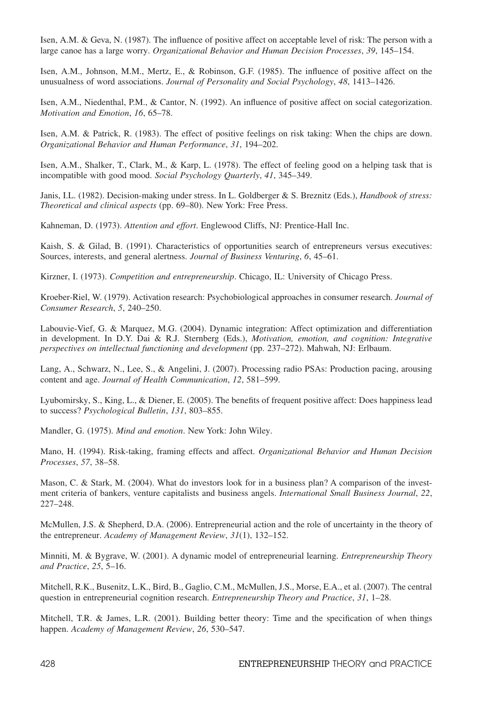Isen, A.M. & Geva, N. (1987). The influence of positive affect on acceptable level of risk: The person with a large canoe has a large worry. *Organizational Behavior and Human Decision Processes*, *39*, 145–154.

Isen, A.M., Johnson, M.M., Mertz, E., & Robinson, G.F. (1985). The influence of positive affect on the unusualness of word associations. *Journal of Personality and Social Psychology*, *48*, 1413–1426.

Isen, A.M., Niedenthal, P.M., & Cantor, N. (1992). An influence of positive affect on social categorization. *Motivation and Emotion*, *16*, 65–78.

Isen, A.M. & Patrick, R. (1983). The effect of positive feelings on risk taking: When the chips are down. *Organizational Behavior and Human Performance*, *31*, 194–202.

Isen, A.M., Shalker, T., Clark, M., & Karp, L. (1978). The effect of feeling good on a helping task that is incompatible with good mood. *Social Psychology Quarterly*, *41*, 345–349.

Janis, I.L. (1982). Decision-making under stress. In L. Goldberger & S. Breznitz (Eds.), *Handbook of stress: Theoretical and clinical aspects* (pp. 69–80). New York: Free Press.

Kahneman, D. (1973). *Attention and effort*. Englewood Cliffs, NJ: Prentice-Hall Inc.

Kaish, S. & Gilad, B. (1991). Characteristics of opportunities search of entrepreneurs versus executives: Sources, interests, and general alertness. *Journal of Business Venturing*, *6*, 45–61.

Kirzner, I. (1973). *Competition and entrepreneurship*. Chicago, IL: University of Chicago Press.

Kroeber-Riel, W. (1979). Activation research: Psychobiological approaches in consumer research. *Journal of Consumer Research*, *5*, 240–250.

Labouvie-Vief, G. & Marquez, M.G. (2004). Dynamic integration: Affect optimization and differentiation in development. In D.Y. Dai & R.J. Sternberg (Eds.), *Motivation, emotion, and cognition: Integrative perspectives on intellectual functioning and development* (pp. 237–272). Mahwah, NJ: Erlbaum.

Lang, A., Schwarz, N., Lee, S., & Angelini, J. (2007). Processing radio PSAs: Production pacing, arousing content and age. *Journal of Health Communication*, *12*, 581–599.

Lyubomirsky, S., King, L., & Diener, E. (2005). The benefits of frequent positive affect: Does happiness lead to success? *Psychological Bulletin*, *131*, 803–855.

Mandler, G. (1975). *Mind and emotion*. New York: John Wiley.

Mano, H. (1994). Risk-taking, framing effects and affect. *Organizational Behavior and Human Decision Processes*, *57*, 38–58.

Mason, C. & Stark, M. (2004). What do investors look for in a business plan? A comparison of the investment criteria of bankers, venture capitalists and business angels. *International Small Business Journal*, *22*, 227–248.

McMullen, J.S. & Shepherd, D.A. (2006). Entrepreneurial action and the role of uncertainty in the theory of the entrepreneur. *Academy of Management Review*, *31*(1), 132–152.

Minniti, M. & Bygrave, W. (2001). A dynamic model of entrepreneurial learning. *Entrepreneurship Theory and Practice*, *25*, 5–16.

Mitchell, R.K., Busenitz, L.K., Bird, B., Gaglio, C.M., McMullen, J.S., Morse, E.A., et al. (2007). The central question in entrepreneurial cognition research. *Entrepreneurship Theory and Practice*, *31*, 1–28.

Mitchell, T.R. & James, L.R. (2001). Building better theory: Time and the specification of when things happen. *Academy of Management Review*, *26*, 530–547.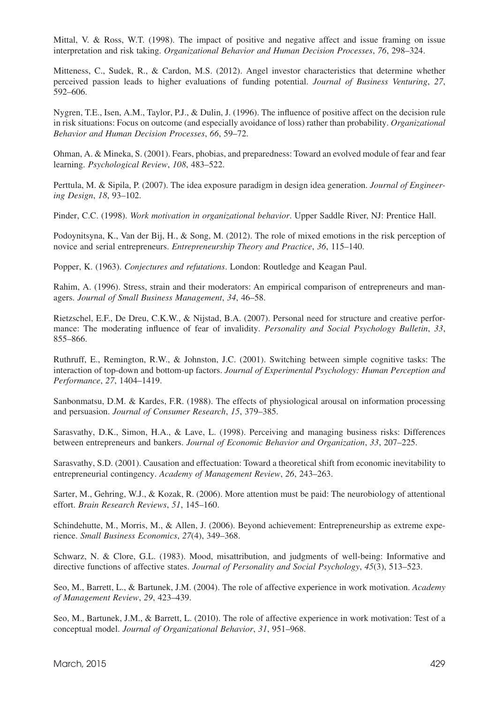Mittal, V. & Ross, W.T. (1998). The impact of positive and negative affect and issue framing on issue interpretation and risk taking. *Organizational Behavior and Human Decision Processes*, *76*, 298–324.

Mitteness, C., Sudek, R., & Cardon, M.S. (2012). Angel investor characteristics that determine whether perceived passion leads to higher evaluations of funding potential. *Journal of Business Venturing*, *27*, 592–606.

Nygren, T.E., Isen, A.M., Taylor, P.J., & Dulin, J. (1996). The influence of positive affect on the decision rule in risk situations: Focus on outcome (and especially avoidance of loss) rather than probability. *Organizational Behavior and Human Decision Processes*, *66*, 59–72.

Ohman, A. & Mineka, S. (2001). Fears, phobias, and preparedness: Toward an evolved module of fear and fear learning. *Psychological Review*, *108*, 483–522.

Perttula, M. & Sipila, P. (2007). The idea exposure paradigm in design idea generation. *Journal of Engineering Design*, *18*, 93–102.

Pinder, C.C. (1998). *Work motivation in organizational behavior*. Upper Saddle River, NJ: Prentice Hall.

Podoynitsyna, K., Van der Bij, H., & Song, M. (2012). The role of mixed emotions in the risk perception of novice and serial entrepreneurs. *Entrepreneurship Theory and Practice*, *36*, 115–140.

Popper, K. (1963). *Conjectures and refutations*. London: Routledge and Keagan Paul.

Rahim, A. (1996). Stress, strain and their moderators: An empirical comparison of entrepreneurs and managers. *Journal of Small Business Management*, *34*, 46–58.

Rietzschel, E.F., De Dreu, C.K.W., & Nijstad, B.A. (2007). Personal need for structure and creative performance: The moderating influence of fear of invalidity. *Personality and Social Psychology Bulletin*, *33*, 855–866.

Ruthruff, E., Remington, R.W., & Johnston, J.C. (2001). Switching between simple cognitive tasks: The interaction of top-down and bottom-up factors. *Journal of Experimental Psychology: Human Perception and Performance*, *27*, 1404–1419.

Sanbonmatsu, D.M. & Kardes, F.R. (1988). The effects of physiological arousal on information processing and persuasion. *Journal of Consumer Research*, *15*, 379–385.

Sarasvathy, D.K., Simon, H.A., & Lave, L. (1998). Perceiving and managing business risks: Differences between entrepreneurs and bankers. *Journal of Economic Behavior and Organization*, *33*, 207–225.

Sarasvathy, S.D. (2001). Causation and effectuation: Toward a theoretical shift from economic inevitability to entrepreneurial contingency. *Academy of Management Review*, *26*, 243–263.

Sarter, M., Gehring, W.J., & Kozak, R. (2006). More attention must be paid: The neurobiology of attentional effort. *Brain Research Reviews*, *51*, 145–160.

Schindehutte, M., Morris, M., & Allen, J. (2006). Beyond achievement: Entrepreneurship as extreme experience. *Small Business Economics*, *27*(4), 349–368.

Schwarz, N. & Clore, G.L. (1983). Mood, misattribution, and judgments of well-being: Informative and directive functions of affective states. *Journal of Personality and Social Psychology*, *45*(3), 513–523.

Seo, M., Barrett, L., & Bartunek, J.M. (2004). The role of affective experience in work motivation. *Academy of Management Review*, *29*, 423–439.

Seo, M., Bartunek, J.M., & Barrett, L. (2010). The role of affective experience in work motivation: Test of a conceptual model. *Journal of Organizational Behavior*, *31*, 951–968.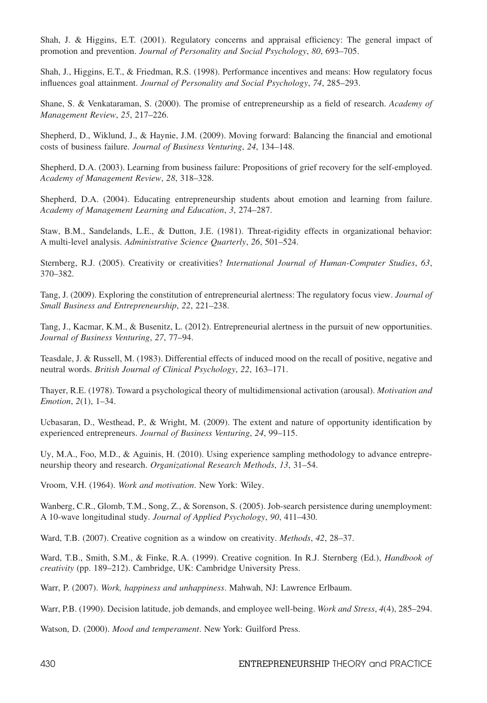Shah, J. & Higgins, E.T. (2001). Regulatory concerns and appraisal efficiency: The general impact of promotion and prevention. *Journal of Personality and Social Psychology*, *80*, 693–705.

Shah, J., Higgins, E.T., & Friedman, R.S. (1998). Performance incentives and means: How regulatory focus influences goal attainment. *Journal of Personality and Social Psychology*, *74*, 285–293.

Shane, S. & Venkataraman, S. (2000). The promise of entrepreneurship as a field of research. *Academy of Management Review*, *25*, 217–226.

Shepherd, D., Wiklund, J., & Haynie, J.M. (2009). Moving forward: Balancing the financial and emotional costs of business failure. *Journal of Business Venturing*, *24*, 134–148.

Shepherd, D.A. (2003). Learning from business failure: Propositions of grief recovery for the self-employed. *Academy of Management Review*, *28*, 318–328.

Shepherd, D.A. (2004). Educating entrepreneurship students about emotion and learning from failure. *Academy of Management Learning and Education*, *3*, 274–287.

Staw, B.M., Sandelands, L.E., & Dutton, J.E. (1981). Threat-rigidity effects in organizational behavior: A multi-level analysis. *Administrative Science Quarterly*, *26*, 501–524.

Sternberg, R.J. (2005). Creativity or creativities? *International Journal of Human-Computer Studies*, *63*, 370–382.

Tang, J. (2009). Exploring the constitution of entrepreneurial alertness: The regulatory focus view. *Journal of Small Business and Entrepreneurship*, *22*, 221–238.

Tang, J., Kacmar, K.M., & Busenitz, L. (2012). Entrepreneurial alertness in the pursuit of new opportunities. *Journal of Business Venturing*, *27*, 77–94.

Teasdale, J. & Russell, M. (1983). Differential effects of induced mood on the recall of positive, negative and neutral words. *British Journal of Clinical Psychology*, *22*, 163–171.

Thayer, R.E. (1978). Toward a psychological theory of multidimensional activation (arousal). *Motivation and Emotion*, *2*(1), 1–34.

Ucbasaran, D., Westhead, P., & Wright, M. (2009). The extent and nature of opportunity identification by experienced entrepreneurs. *Journal of Business Venturing*, *24*, 99–115.

Uy, M.A., Foo, M.D., & Aguinis, H. (2010). Using experience sampling methodology to advance entrepreneurship theory and research. *Organizational Research Methods*, *13*, 31–54.

Vroom, V.H. (1964). *Work and motivation*. New York: Wiley.

Wanberg, C.R., Glomb, T.M., Song, Z., & Sorenson, S. (2005). Job-search persistence during unemployment: A 10-wave longitudinal study. *Journal of Applied Psychology*, *90*, 411–430.

Ward, T.B. (2007). Creative cognition as a window on creativity. *Methods*, *42*, 28–37.

Ward, T.B., Smith, S.M., & Finke, R.A. (1999). Creative cognition. In R.J. Sternberg (Ed.), *Handbook of creativity* (pp. 189–212). Cambridge, UK: Cambridge University Press.

Warr, P. (2007). *Work, happiness and unhappiness*. Mahwah, NJ: Lawrence Erlbaum.

Warr, P.B. (1990). Decision latitude, job demands, and employee well-being. *Work and Stress*, *4*(4), 285–294.

Watson, D. (2000). *Mood and temperament*. New York: Guilford Press.